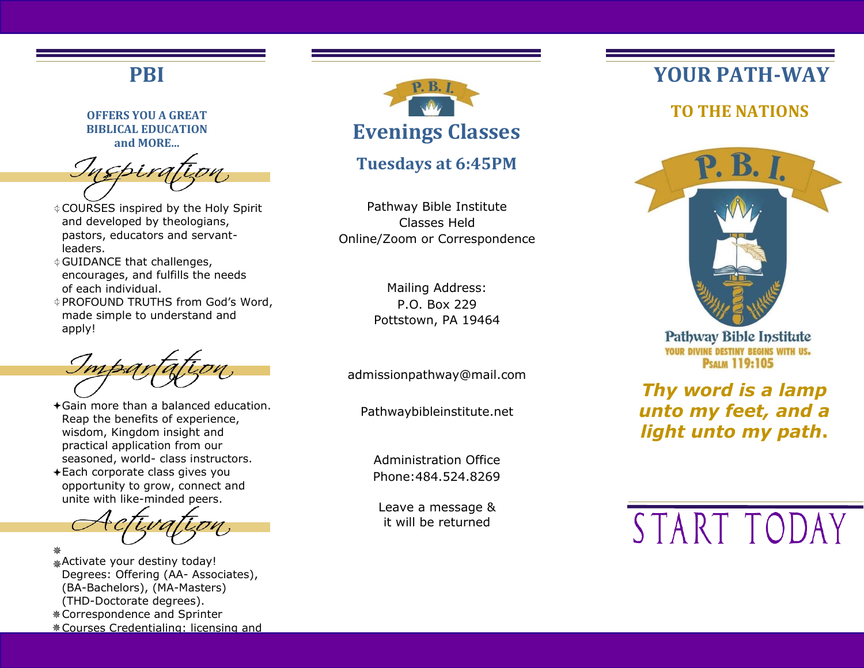## **PBI**

**OFFERS YOU A GREAT BIBLICAL EDUCATION and MORE...**

- COURSES inspired by the Holy Spirit and developed by theologians, pastors, educators and servantleaders.
- GUIDANCE that challenges, encourages, and fulfills the needs of each individual.
- PROFOUND TRUTHS from God's Word, made simple to understand and apply!

- Gain more than a balanced education. Reap the benefits of experience, wisdom, Kingdom insight and practical application from our seasoned, world- class instructors.
- Each corporate class gives you opportunity to grow, connect and unite with like-minded peers.

Activate your destiny today! Degrees: Offering (AA- Associates), (BA-Bachelors), (MA-Masters) (THD-Doctorate degrees). Correspondence and Sprinter Courses Credentialing: licensing and



## **Tuesdays at 6:45PM**

Pathway Bible Institute Classes Held Online/Zoom or Correspondence

> Mailing Address: P.O. Box 229 Pottstown, PA 19464

[admissionpathway@mail.com](mailto:admissionpathway@mail.com)

Pathwaybibleinstitute.net

Administration Office Phone:484.524.8269

Leave a message & it will be returned

# **YOUR PATH-WAY**

 **TO THE NATIONS**



**Pathway Bible Institute** YOUR DIVINE DESTINY BEGINS WITH US. **PSALM 119:105** 

*Thy word is a lamp unto my feet, and a light unto my path***.**

START TODAY